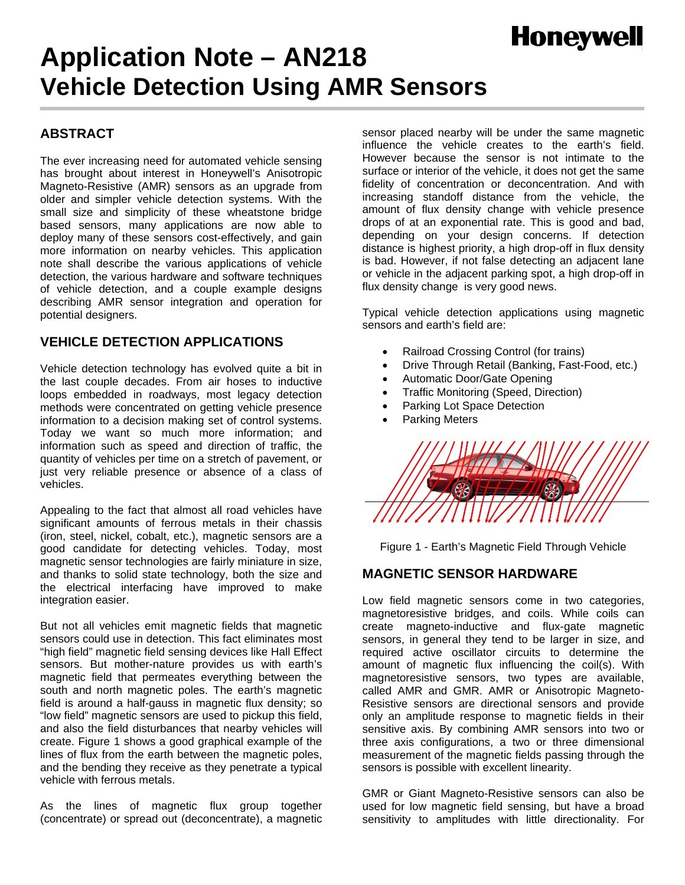# **Honeywell**

# **Application Note – AN218 Vehicle Detection Using AMR Sensors**

# **ABSTRACT**

The ever increasing need for automated vehicle sensing has brought about interest in Honeywell's Anisotropic Magneto-Resistive (AMR) sensors as an upgrade from older and simpler vehicle detection systems. With the small size and simplicity of these wheatstone bridge based sensors, many applications are now able to deploy many of these sensors cost-effectively, and gain more information on nearby vehicles. This application note shall describe the various applications of vehicle detection, the various hardware and software techniques of vehicle detection, and a couple example designs describing AMR sensor integration and operation for potential designers.

## **VEHICLE DETECTION APPLICATIONS**

Vehicle detection technology has evolved quite a bit in the last couple decades. From air hoses to inductive loops embedded in roadways, most legacy detection methods were concentrated on getting vehicle presence information to a decision making set of control systems. Today we want so much more information; and information such as speed and direction of traffic, the quantity of vehicles per time on a stretch of pavement, or just very reliable presence or absence of a class of vehicles.

Appealing to the fact that almost all road vehicles have significant amounts of ferrous metals in their chassis (iron, steel, nickel, cobalt, etc.), magnetic sensors are a good candidate for detecting vehicles. Today, most magnetic sensor technologies are fairly miniature in size, and thanks to solid state technology, both the size and the electrical interfacing have improved to make integration easier.

But not all vehicles emit magnetic fields that magnetic sensors could use in detection. This fact eliminates most "high field" magnetic field sensing devices like Hall Effect sensors. But mother-nature provides us with earth's magnetic field that permeates everything between the south and north magnetic poles. The earth's magnetic field is around a half-gauss in magnetic flux density; so "low field" magnetic sensors are used to pickup this field, and also the field disturbances that nearby vehicles will create. Figure 1 shows a good graphical example of the lines of flux from the earth between the magnetic poles, and the bending they receive as they penetrate a typical vehicle with ferrous metals.

As the lines of magnetic flux group together (concentrate) or spread out (deconcentrate), a magnetic

sensor placed nearby will be under the same magnetic influence the vehicle creates to the earth's field. However because the sensor is not intimate to the surface or interior of the vehicle, it does not get the same fidelity of concentration or deconcentration. And with increasing standoff distance from the vehicle, the amount of flux density change with vehicle presence drops of at an exponential rate. This is good and bad, depending on your design concerns. If detection distance is highest priority, a high drop-off in flux density is bad. However, if not false detecting an adjacent lane or vehicle in the adjacent parking spot, a high drop-off in flux density change is very good news.

Typical vehicle detection applications using magnetic sensors and earth's field are:

- Railroad Crossing Control (for trains)
- Drive Through Retail (Banking, Fast-Food, etc.)
- Automatic Door/Gate Opening
- Traffic Monitoring (Speed, Direction)
- Parking Lot Space Detection
- Parking Meters



Figure 1 - Earth's Magnetic Field Through Vehicle

## **MAGNETIC SENSOR HARDWARE**

Low field magnetic sensors come in two categories, magnetoresistive bridges, and coils. While coils can create magneto-inductive and flux-gate magnetic sensors, in general they tend to be larger in size, and required active oscillator circuits to determine the amount of magnetic flux influencing the coil(s). With magnetoresistive sensors, two types are available, called AMR and GMR. AMR or Anisotropic Magneto-Resistive sensors are directional sensors and provide only an amplitude response to magnetic fields in their sensitive axis. By combining AMR sensors into two or three axis configurations, a two or three dimensional measurement of the magnetic fields passing through the sensors is possible with excellent linearity.

GMR or Giant Magneto-Resistive sensors can also be used for low magnetic field sensing, but have a broad sensitivity to amplitudes with little directionality. For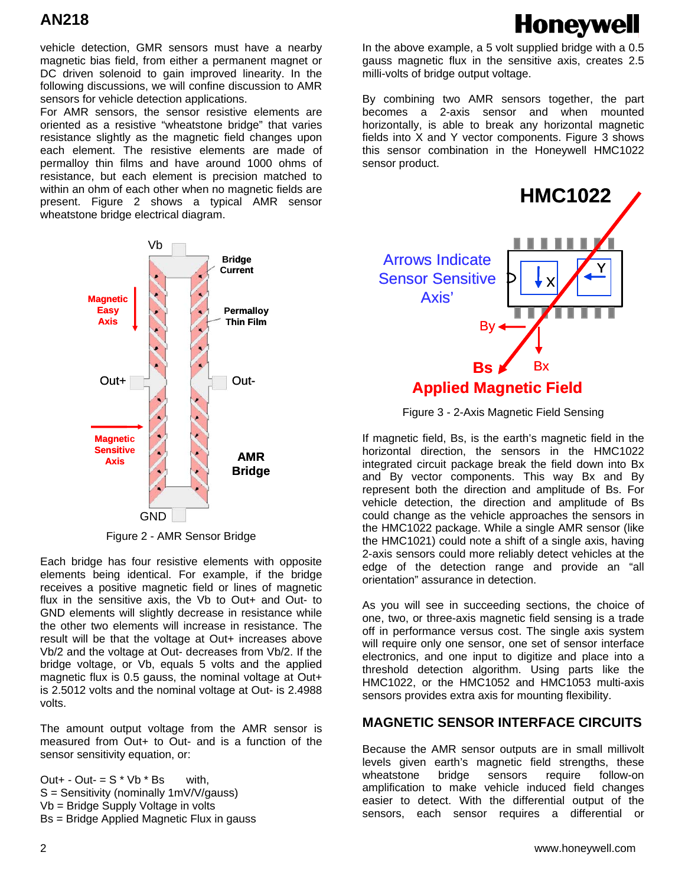**Honeywell** 

vehicle detection, GMR sensors must have a nearby magnetic bias field, from either a permanent magnet or DC driven solenoid to gain improved linearity. In the following discussions, we will confine discussion to AMR sensors for vehicle detection applications.

For AMR sensors, the sensor resistive elements are oriented as a resistive "wheatstone bridge" that varies resistance slightly as the magnetic field changes upon each element. The resistive elements are made of permalloy thin films and have around 1000 ohms of resistance, but each element is precision matched to within an ohm of each other when no magnetic fields are present. Figure 2 shows a typical AMR sensor wheatstone bridge electrical diagram.



Figure 2 - AMR Sensor Bridge

Each bridge has four resistive elements with opposite elements being identical. For example, if the bridge receives a positive magnetic field or lines of magnetic flux in the sensitive axis, the Vb to Out+ and Out- to GND elements will slightly decrease in resistance while the other two elements will increase in resistance. The result will be that the voltage at Out+ increases above Vb/2 and the voltage at Out- decreases from Vb/2. If the bridge voltage, or Vb, equals 5 volts and the applied magnetic flux is 0.5 gauss, the nominal voltage at Out+ is 2.5012 volts and the nominal voltage at Out- is 2.4988 volts.

The amount output voltage from the AMR sensor is measured from Out+ to Out- and is a function of the sensor sensitivity equation, or:

Out+ - Out- =  $S * Vb * Bs$  with, S = Sensitivity (nominally 1mV/V/gauss) Vb = Bridge Supply Voltage in volts Bs = Bridge Applied Magnetic Flux in gauss

In the above example, a 5 volt supplied bridge with a 0.5 gauss magnetic flux in the sensitive axis, creates 2.5 milli-volts of bridge output voltage.

By combining two AMR sensors together, the part becomes a 2-axis sensor and when mounted horizontally, is able to break any horizontal magnetic fields into X and Y vector components. Figure 3 shows this sensor combination in the Honeywell HMC1022 sensor product.



Figure 3 - 2-Axis Magnetic Field Sensing

If magnetic field, Bs, is the earth's magnetic field in the horizontal direction, the sensors in the HMC1022 integrated circuit package break the field down into Bx and By vector components. This way Bx and By represent both the direction and amplitude of Bs. For vehicle detection, the direction and amplitude of Bs could change as the vehicle approaches the sensors in the HMC1022 package. While a single AMR sensor (like the HMC1021) could note a shift of a single axis, having 2-axis sensors could more reliably detect vehicles at the edge of the detection range and provide an "all orientation" assurance in detection.

As you will see in succeeding sections, the choice of one, two, or three-axis magnetic field sensing is a trade off in performance versus cost. The single axis system will require only one sensor, one set of sensor interface electronics, and one input to digitize and place into a threshold detection algorithm. Using parts like the HMC1022, or the HMC1052 and HMC1053 multi-axis sensors provides extra axis for mounting flexibility.

#### **MAGNETIC SENSOR INTERFACE CIRCUITS**

Because the AMR sensor outputs are in small millivolt levels given earth's magnetic field strengths, these wheatstone bridge sensors require follow-on amplification to make vehicle induced field changes easier to detect. With the differential output of the sensors, each sensor requires a differential or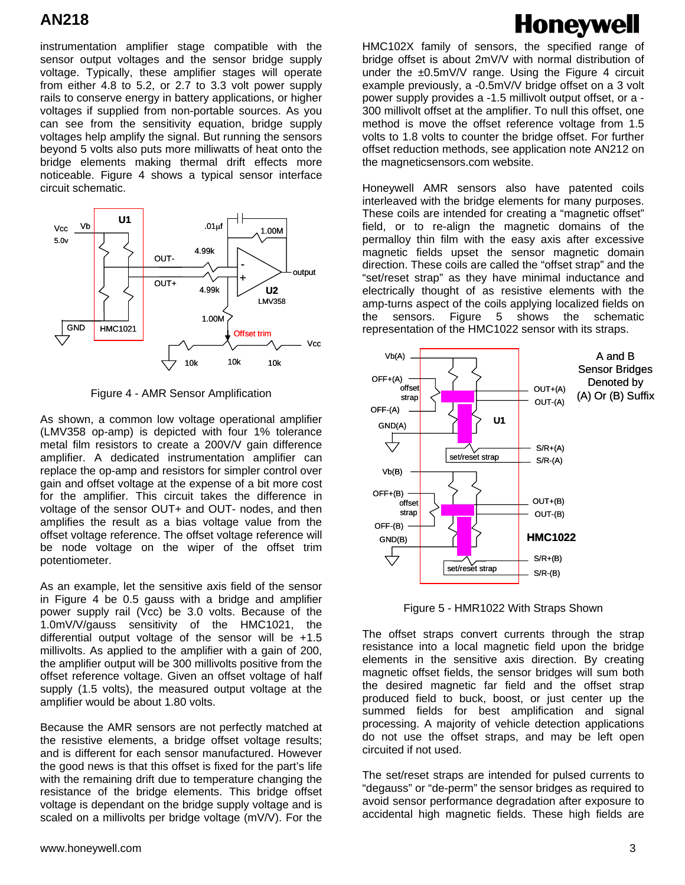instrumentation amplifier stage compatible with the sensor output voltages and the sensor bridge supply voltage. Typically, these amplifier stages will operate from either 4.8 to 5.2, or 2.7 to 3.3 volt power supply rails to conserve energy in battery applications, or higher voltages if supplied from non-portable sources. As you can see from the sensitivity equation, bridge supply voltages help amplify the signal. But running the sensors beyond 5 volts also puts more milliwatts of heat onto the bridge elements making thermal drift effects more noticeable. Figure 4 shows a typical sensor interface circuit schematic.



Figure 4 - AMR Sensor Amplification

As shown, a common low voltage operational amplifier (LMV358 op-amp) is depicted with four 1% tolerance metal film resistors to create a 200V/V gain difference amplifier. A dedicated instrumentation amplifier can replace the op-amp and resistors for simpler control over gain and offset voltage at the expense of a bit more cost for the amplifier. This circuit takes the difference in voltage of the sensor OUT+ and OUT- nodes, and then amplifies the result as a bias voltage value from the offset voltage reference. The offset voltage reference will be node voltage on the wiper of the offset trim potentiometer.

As an example, let the sensitive axis field of the sensor in Figure 4 be 0.5 gauss with a bridge and amplifier power supply rail (Vcc) be 3.0 volts. Because of the 1.0mV/V/gauss sensitivity of the HMC1021, the differential output voltage of the sensor will be +1.5 millivolts. As applied to the amplifier with a gain of 200, the amplifier output will be 300 millivolts positive from the offset reference voltage. Given an offset voltage of half supply (1.5 volts), the measured output voltage at the amplifier would be about 1.80 volts.

Because the AMR sensors are not perfectly matched at the resistive elements, a bridge offset voltage results; and is different for each sensor manufactured. However the good news is that this offset is fixed for the part's life with the remaining drift due to temperature changing the resistance of the bridge elements. This bridge offset voltage is dependant on the bridge supply voltage and is scaled on a millivolts per bridge voltage (mV/V). For the

# **Honeywell**

HMC102X family of sensors, the specified range of bridge offset is about 2mV/V with normal distribution of under the  $\pm 0.5$ mV/V range. Using the Figure 4 circuit example previously, a -0.5mV/V bridge offset on a 3 volt power supply provides a -1.5 millivolt output offset, or a - 300 millivolt offset at the amplifier. To null this offset, one method is move the offset reference voltage from 1.5 volts to 1.8 volts to counter the bridge offset. For further offset reduction methods, see application note AN212 on the magneticsensors.com website.

Honeywell AMR sensors also have patented coils interleaved with the bridge elements for many purposes. These coils are intended for creating a "magnetic offset" field, or to re-align the magnetic domains of the permalloy thin film with the easy axis after excessive magnetic fields upset the sensor magnetic domain direction. These coils are called the "offset strap" and the "set/reset strap" as they have minimal inductance and electrically thought of as resistive elements with the amp-turns aspect of the coils applying localized fields on the sensors. Figure 5 shows the schematic representation of the HMC1022 sensor with its straps.



Figure 5 - HMR1022 With Straps Shown

The offset straps convert currents through the strap resistance into a local magnetic field upon the bridge elements in the sensitive axis direction. By creating magnetic offset fields, the sensor bridges will sum both the desired magnetic far field and the offset strap produced field to buck, boost, or just center up the summed fields for best amplification and signal processing. A majority of vehicle detection applications do not use the offset straps, and may be left open circuited if not used.

The set/reset straps are intended for pulsed currents to "degauss" or "de-perm" the sensor bridges as required to avoid sensor performance degradation after exposure to accidental high magnetic fields. These high fields are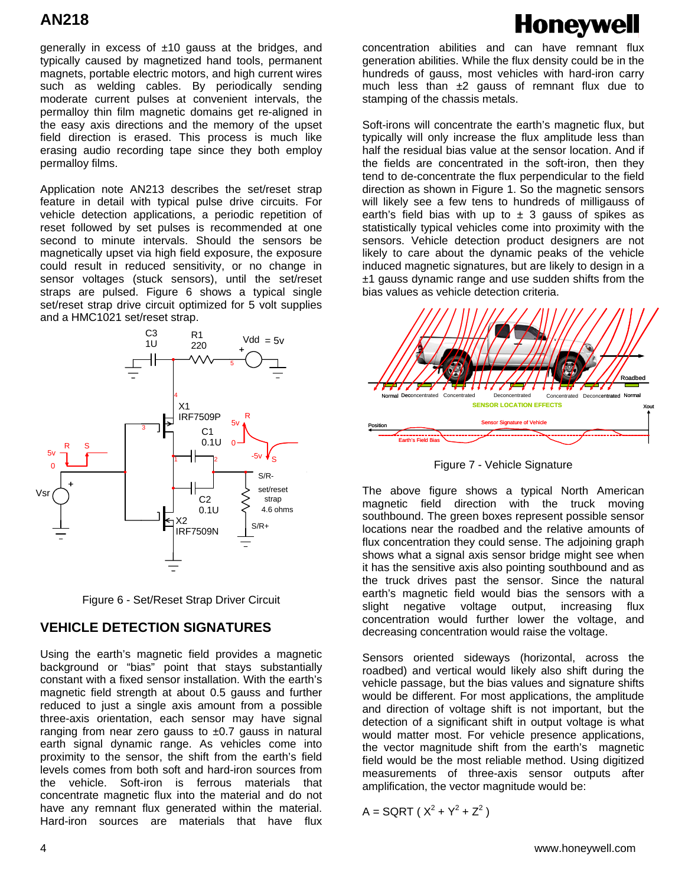generally in excess of ±10 gauss at the bridges, and typically caused by magnetized hand tools, permanent magnets, portable electric motors, and high current wires such as welding cables. By periodically sending moderate current pulses at convenient intervals, the permalloy thin film magnetic domains get re-aligned in the easy axis directions and the memory of the upset field direction is erased. This process is much like erasing audio recording tape since they both employ permalloy films.

Application note AN213 describes the set/reset strap feature in detail with typical pulse drive circuits. For vehicle detection applications, a periodic repetition of reset followed by set pulses is recommended at one second to minute intervals. Should the sensors be magnetically upset via high field exposure, the exposure could result in reduced sensitivity, or no change in sensor voltages (stuck sensors), until the set/reset straps are pulsed. Figure 6 shows a typical single set/reset strap drive circuit optimized for 5 volt supplies and a HMC1021 set/reset strap.





#### **VEHICLE DETECTION SIGNATURES**

Using the earth's magnetic field provides a magnetic background or "bias" point that stays substantially constant with a fixed sensor installation. With the earth's magnetic field strength at about 0.5 gauss and further reduced to just a single axis amount from a possible three-axis orientation, each sensor may have signal ranging from near zero gauss to  $±0.7$  gauss in natural earth signal dynamic range. As vehicles come into proximity to the sensor, the shift from the earth's field levels comes from both soft and hard-iron sources from the vehicle. Soft-iron is ferrous materials that concentrate magnetic flux into the material and do not have any remnant flux generated within the material. Hard-iron sources are materials that have flux

# **Honeywell**

concentration abilities and can have remnant flux generation abilities. While the flux density could be in the hundreds of gauss, most vehicles with hard-iron carry much less than  $\pm 2$  gauss of remnant flux due to stamping of the chassis metals.

Soft-irons will concentrate the earth's magnetic flux, but typically will only increase the flux amplitude less than half the residual bias value at the sensor location. And if the fields are concentrated in the soft-iron, then they tend to de-concentrate the flux perpendicular to the field direction as shown in Figure 1. So the magnetic sensors will likely see a few tens to hundreds of milligauss of earth's field bias with up to  $\pm$  3 gauss of spikes as statistically typical vehicles come into proximity with the sensors. Vehicle detection product designers are not likely to care about the dynamic peaks of the vehicle induced magnetic signatures, but are likely to design in a  $±1$  gauss dynamic range and use sudden shifts from the bias values as vehicle detection criteria.



Figure 7 - Vehicle Signature

The above figure shows a typical North American magnetic field direction with the truck moving southbound. The green boxes represent possible sensor locations near the roadbed and the relative amounts of flux concentration they could sense. The adjoining graph shows what a signal axis sensor bridge might see when it has the sensitive axis also pointing southbound and as the truck drives past the sensor. Since the natural earth's magnetic field would bias the sensors with a slight negative voltage output, increasing flux concentration would further lower the voltage, and decreasing concentration would raise the voltage.

Sensors oriented sideways (horizontal, across the roadbed) and vertical would likely also shift during the vehicle passage, but the bias values and signature shifts would be different. For most applications, the amplitude and direction of voltage shift is not important, but the detection of a significant shift in output voltage is what would matter most. For vehicle presence applications, the vector magnitude shift from the earth's magnetic field would be the most reliable method. Using digitized measurements of three-axis sensor outputs after amplification, the vector magnitude would be:

$$
A =
$$
SGRT ( $X^2 + Y^2 + Z^2$ )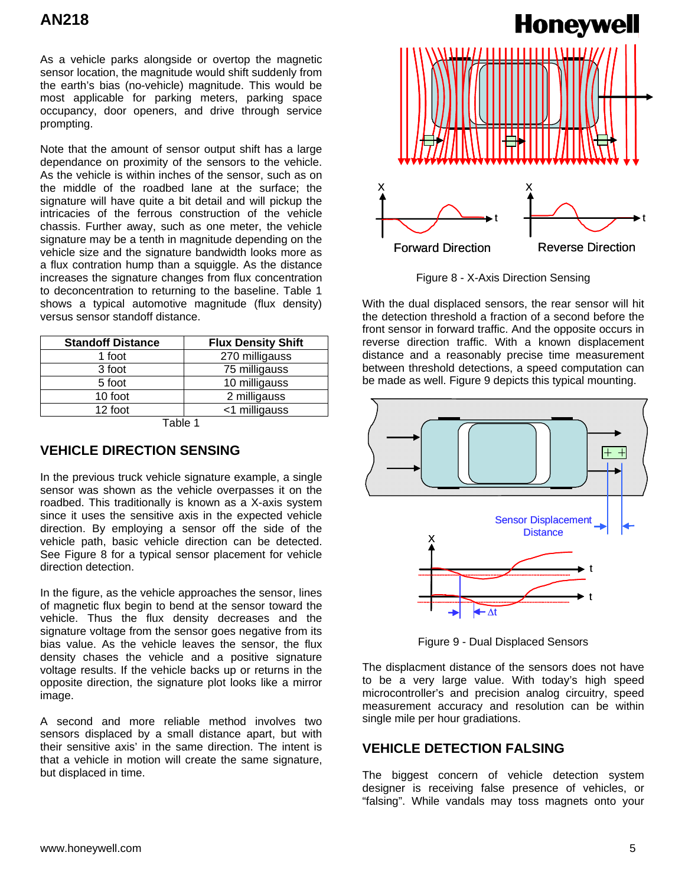As a vehicle parks alongside or overtop the magnetic sensor location, the magnitude would shift suddenly from the earth's bias (no-vehicle) magnitude. This would be most applicable for parking meters, parking space occupancy, door openers, and drive through service prompting.

Note that the amount of sensor output shift has a large dependance on proximity of the sensors to the vehicle. As the vehicle is within inches of the sensor, such as on the middle of the roadbed lane at the surface; the signature will have quite a bit detail and will pickup the intricacies of the ferrous construction of the vehicle chassis. Further away, such as one meter, the vehicle signature may be a tenth in magnitude depending on the vehicle size and the signature bandwidth looks more as a flux contration hump than a squiggle. As the distance increases the signature changes from flux concentration to deconcentration to returning to the baseline. Table 1 shows a typical automotive magnitude (flux density) versus sensor standoff distance.

| <b>Standoff Distance</b> | <b>Flux Density Shift</b> |
|--------------------------|---------------------------|
| 1 foot                   | 270 milligauss            |
| 3 foot                   | 75 milligauss             |
| 5 foot                   | 10 milligauss             |
| 10 foot                  | 2 milligauss              |
| 12 foot                  | <1 milligauss             |
| $T - L - 4$              |                           |

Table 1

## **VEHICLE DIRECTION SENSING**

In the previous truck vehicle signature example, a single sensor was shown as the vehicle overpasses it on the roadbed. This traditionally is known as a X-axis system since it uses the sensitive axis in the expected vehicle direction. By employing a sensor off the side of the vehicle path, basic vehicle direction can be detected. See Figure 8 for a typical sensor placement for vehicle direction detection.

In the figure, as the vehicle approaches the sensor, lines of magnetic flux begin to bend at the sensor toward the vehicle. Thus the flux density decreases and the signature voltage from the sensor goes negative from its bias value. As the vehicle leaves the sensor, the flux density chases the vehicle and a positive signature voltage results. If the vehicle backs up or returns in the opposite direction, the signature plot looks like a mirror image.

A second and more reliable method involves two sensors displaced by a small distance apart, but with their sensitive axis' in the same direction. The intent is that a vehicle in motion will create the same signature, but displaced in time.



Figure 8 - X-Axis Direction Sensing

With the dual displaced sensors, the rear sensor will hit the detection threshold a fraction of a second before the front sensor in forward traffic. And the opposite occurs in reverse direction traffic. With a known displacement distance and a reasonably precise time measurement between threshold detections, a speed computation can be made as well. Figure 9 depicts this typical mounting.



Figure 9 - Dual Displaced Sensors

The displacment distance of the sensors does not have to be a very large value. With today's high speed microcontroller's and precision analog circuitry, speed measurement accuracy and resolution can be within single mile per hour gradiations.

## **VEHICLE DETECTION FALSING**

The biggest concern of vehicle detection system designer is receiving false presence of vehicles, or "falsing". While vandals may toss magnets onto your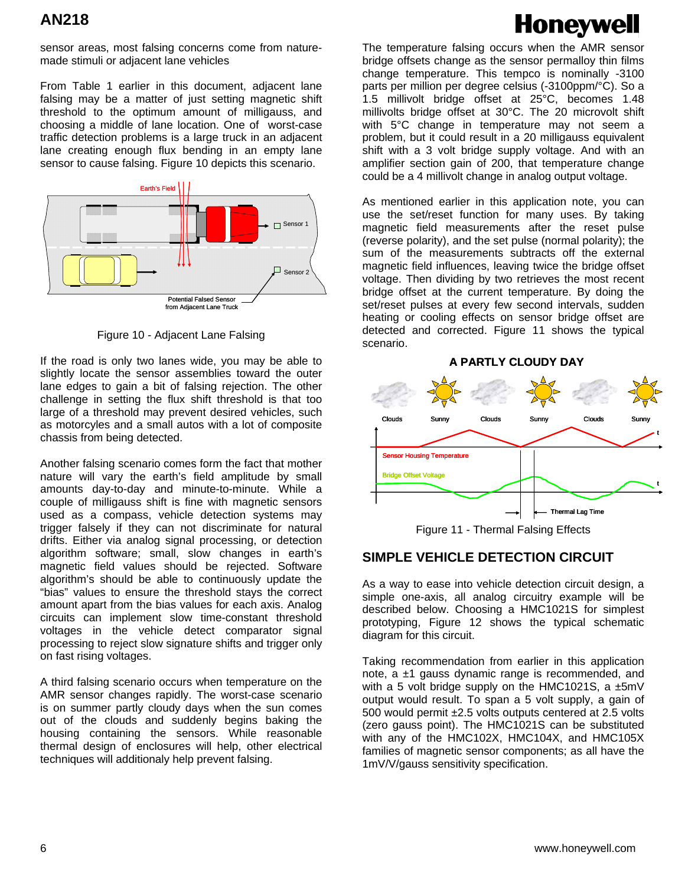# **Honeywell**

sensor areas, most falsing concerns come from naturemade stimuli or adjacent lane vehicles

From Table 1 earlier in this document, adjacent lane falsing may be a matter of just setting magnetic shift threshold to the optimum amount of milligauss, and choosing a middle of lane location. One of worst-case traffic detection problems is a large truck in an adjacent lane creating enough flux bending in an empty lane sensor to cause falsing. Figure 10 depicts this scenario.



Figure 10 - Adjacent Lane Falsing

If the road is only two lanes wide, you may be able to slightly locate the sensor assemblies toward the outer lane edges to gain a bit of falsing rejection. The other challenge in setting the flux shift threshold is that too large of a threshold may prevent desired vehicles, such as motorcyles and a small autos with a lot of composite chassis from being detected.

Another falsing scenario comes form the fact that mother nature will vary the earth's field amplitude by small amounts day-to-day and minute-to-minute. While a couple of milligauss shift is fine with magnetic sensors used as a compass, vehicle detection systems may trigger falsely if they can not discriminate for natural drifts. Either via analog signal processing, or detection algorithm software; small, slow changes in earth's magnetic field values should be rejected. Software algorithm's should be able to continuously update the "bias" values to ensure the threshold stays the correct amount apart from the bias values for each axis. Analog circuits can implement slow time-constant threshold voltages in the vehicle detect comparator signal processing to reject slow signature shifts and trigger only on fast rising voltages.

A third falsing scenario occurs when temperature on the AMR sensor changes rapidly. The worst-case scenario is on summer partly cloudy days when the sun comes out of the clouds and suddenly begins baking the housing containing the sensors. While reasonable thermal design of enclosures will help, other electrical techniques will additionaly help prevent falsing.

The temperature falsing occurs when the AMR sensor bridge offsets change as the sensor permalloy thin films change temperature. This tempco is nominally -3100 parts per million per degree celsius (-3100ppm/°C). So a 1.5 millivolt bridge offset at 25°C, becomes 1.48 millivolts bridge offset at 30°C. The 20 microvolt shift with 5°C change in temperature may not seem a problem, but it could result in a 20 milligauss equivalent shift with a 3 volt bridge supply voltage. And with an amplifier section gain of 200, that temperature change could be a 4 millivolt change in analog output voltage.

As mentioned earlier in this application note, you can use the set/reset function for many uses. By taking magnetic field measurements after the reset pulse (reverse polarity), and the set pulse (normal polarity); the sum of the measurements subtracts off the external magnetic field influences, leaving twice the bridge offset voltage. Then dividing by two retrieves the most recent bridge offset at the current temperature. By doing the set/reset pulses at every few second intervals, sudden heating or cooling effects on sensor bridge offset are detected and corrected. Figure 11 shows the typical scenario.



Figure 11 - Thermal Falsing Effects

## **SIMPLE VEHICLE DETECTION CIRCUIT**

As a way to ease into vehicle detection circuit design, a simple one-axis, all analog circuitry example will be described below. Choosing a HMC1021S for simplest prototyping, Figure 12 shows the typical schematic diagram for this circuit.

Taking recommendation from earlier in this application note,  $a \pm 1$  gauss dynamic range is recommended, and with a 5 volt bridge supply on the HMC1021S, a  $\pm$ 5mV output would result. To span a 5 volt supply, a gain of 500 would permit ±2.5 volts outputs centered at 2.5 volts (zero gauss point). The HMC1021S can be substituted with any of the HMC102X, HMC104X, and HMC105X families of magnetic sensor components; as all have the 1mV/V/gauss sensitivity specification.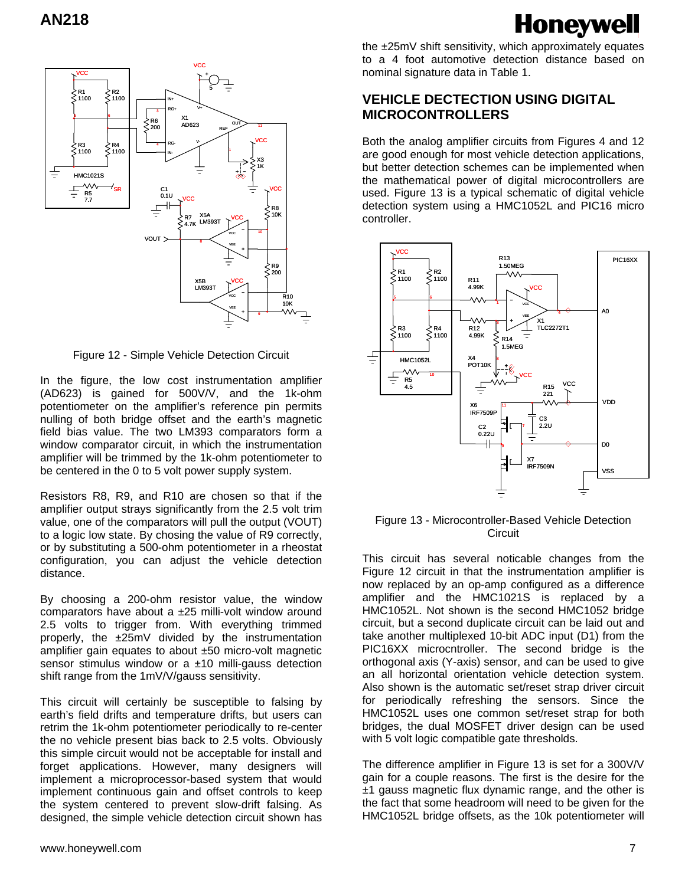드

#### VCC VCC 5 R1 1100 R2 1100 IN+ V+ RG+ 3 5 6  $\begin{array}{c} 2 \n\searrow 200\n\end{array}$ R6 X1<br>300 AD623 OUT 11 REF VCC V-RG-R3 1100 R4 1100 4 1 IN-X3 1K HMC1021S ᄿ 手 VCC SR C1 0.1U R5 7.7 VCC R8 ok X5A LM393T **D7** VCC 4.7K 10 VCC VOUT 8 VEE R9 200 X5B VCC LM393T VCC R10 10K

Figure 12 - Simple Vehicle Detection Circuit

VEE

9

In the figure, the low cost instrumentation amplifier (AD623) is gained for 500V/V, and the 1k-ohm potentiometer on the amplifier's reference pin permits nulling of both bridge offset and the earth's magnetic field bias value. The two LM393 comparators form a window comparator circuit, in which the instrumentation amplifier will be trimmed by the 1k-ohm potentiometer to be centered in the 0 to 5 volt power supply system.

Resistors R8, R9, and R10 are chosen so that if the amplifier output strays significantly from the 2.5 volt trim value, one of the comparators will pull the output (VOUT) to a logic low state. By chosing the value of R9 correctly, or by substituting a 500-ohm potentiometer in a rheostat configuration, you can adjust the vehicle detection distance.

By choosing a 200-ohm resistor value, the window comparators have about a ±25 milli-volt window around 2.5 volts to trigger from. With everything trimmed properly, the ±25mV divided by the instrumentation amplifier gain equates to about ±50 micro-volt magnetic sensor stimulus window or a  $\pm$ 10 milli-gauss detection shift range from the 1mV/V/gauss sensitivity.

This circuit will certainly be susceptible to falsing by earth's field drifts and temperature drifts, but users can retrim the 1k-ohm potentiometer periodically to re-center the no vehicle present bias back to 2.5 volts. Obviously this simple circuit would not be acceptable for install and forget applications. However, many designers will implement a microprocessor-based system that would implement continuous gain and offset controls to keep the system centered to prevent slow-drift falsing. As designed, the simple vehicle detection circuit shown has

Honeywell the ±25mV shift sensitivity, which approximately equates to a 4 foot automotive detection distance based on nominal signature data in Table 1.

## **VEHICLE DECTECTION USING DIGITAL MICROCONTROLLERS**

Both the analog amplifier circuits from Figures 4 and 12 are good enough for most vehicle detection applications, but better detection schemes can be implemented when the mathematical power of digital microcontrollers are used. Figure 13 is a typical schematic of digital vehicle detection system using a HMC1052L and PIC16 micro controller.



#### Figure 13 - Microcontroller-Based Vehicle Detection **Circuit**

This circuit has several noticable changes from the Figure 12 circuit in that the instrumentation amplifier is now replaced by an op-amp configured as a difference amplifier and the HMC1021S is replaced by a HMC1052L. Not shown is the second HMC1052 bridge circuit, but a second duplicate circuit can be laid out and take another multiplexed 10-bit ADC input (D1) from the PIC16XX microcntroller. The second bridge is the orthogonal axis (Y-axis) sensor, and can be used to give an all horizontal orientation vehicle detection system. Also shown is the automatic set/reset strap driver circuit for periodically refreshing the sensors. Since the HMC1052L uses one common set/reset strap for both bridges, the dual MOSFET driver design can be used with 5 volt logic compatible gate thresholds.

The difference amplifier in Figure 13 is set for a 300V/V gain for a couple reasons. The first is the desire for the  $±1$  gauss magnetic flux dynamic range, and the other is the fact that some headroom will need to be given for the HMC1052L bridge offsets, as the 10k potentiometer will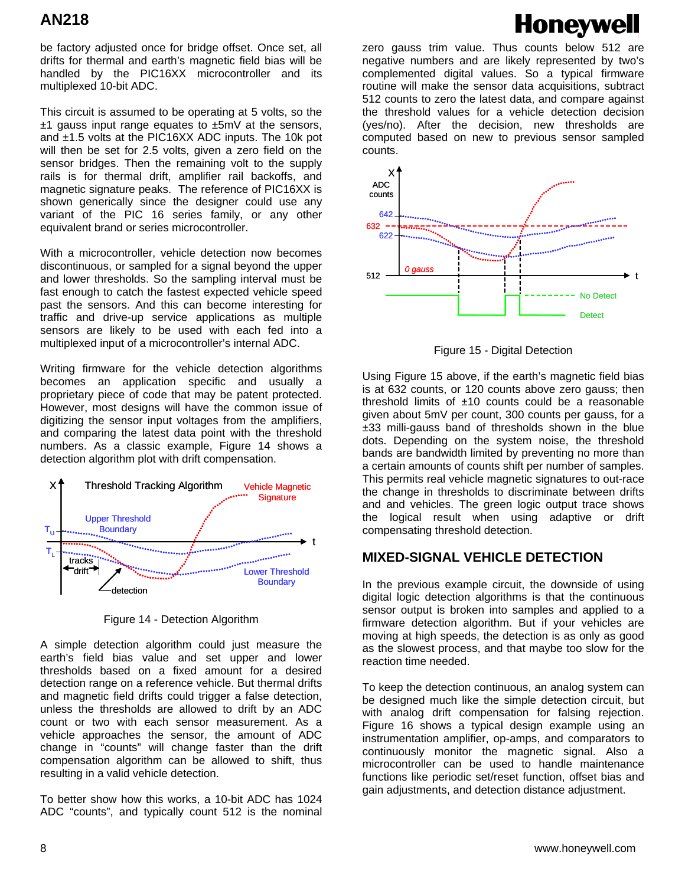be factory adjusted once for bridge offset. Once set, all drifts for thermal and earth's magnetic field bias will be handled by the PIC16XX microcontroller and its multiplexed 10-bit ADC.

This circuit is assumed to be operating at 5 volts, so the  $±1$  gauss input range equates to  $±5mV$  at the sensors, and ±1.5 volts at the PIC16XX ADC inputs. The 10k pot will then be set for 2.5 volts, given a zero field on the sensor bridges. Then the remaining volt to the supply rails is for thermal drift, amplifier rail backoffs, and magnetic signature peaks. The reference of PIC16XX is shown generically since the designer could use any variant of the PIC 16 series family, or any other equivalent brand or series microcontroller.

With a microcontroller, vehicle detection now becomes discontinuous, or sampled for a signal beyond the upper and lower thresholds. So the sampling interval must be fast enough to catch the fastest expected vehicle speed past the sensors. And this can become interesting for traffic and drive-up service applications as multiple sensors are likely to be used with each fed into a multiplexed input of a microcontroller's internal ADC.

Writing firmware for the vehicle detection algorithms becomes an application specific and usually a proprietary piece of code that may be patent protected. However, most designs will have the common issue of digitizing the sensor input voltages from the amplifiers, and comparing the latest data point with the threshold numbers. As a classic example, Figure 14 shows a detection algorithm plot with drift compensation.



Figure 14 - Detection Algorithm

A simple detection algorithm could just measure the earth's field bias value and set upper and lower thresholds based on a fixed amount for a desired detection range on a reference vehicle. But thermal drifts and magnetic field drifts could trigger a false detection, unless the thresholds are allowed to drift by an ADC count or two with each sensor measurement. As a vehicle approaches the sensor, the amount of ADC change in "counts" will change faster than the drift compensation algorithm can be allowed to shift, thus resulting in a valid vehicle detection.

To better show how this works, a 10-bit ADC has 1024 ADC "counts", and typically count 512 is the nominal zero gauss trim value. Thus counts below 512 are negative numbers and are likely represented by two's complemented digital values. So a typical firmware routine will make the sensor data acquisitions, subtract 512 counts to zero the latest data, and compare against the threshold values for a vehicle detection decision (yes/no). After the decision, new thresholds are computed based on new to previous sensor sampled counts.

**Honeywell** 



Figure 15 - Digital Detection

Using Figure 15 above, if the earth's magnetic field bias is at 632 counts, or 120 counts above zero gauss; then threshold limits of  $±10$  counts could be a reasonable given about 5mV per count, 300 counts per gauss, for a ±33 milli-gauss band of thresholds shown in the blue dots. Depending on the system noise, the threshold bands are bandwidth limited by preventing no more than a certain amounts of counts shift per number of samples. This permits real vehicle magnetic signatures to out-race the change in thresholds to discriminate between drifts and and vehicles. The green logic output trace shows the logical result when using adaptive or drift compensating threshold detection.

# **MIXED-SIGNAL VEHICLE DETECTION**

In the previous example circuit, the downside of using digital logic detection algorithms is that the continuous sensor output is broken into samples and applied to a firmware detection algorithm. But if your vehicles are moving at high speeds, the detection is as only as good as the slowest process, and that maybe too slow for the reaction time needed.

To keep the detection continuous, an analog system can be designed much like the simple detection circuit, but with analog drift compensation for falsing rejection. Figure 16 shows a typical design example using an instrumentation amplifier, op-amps, and comparators to continuously monitor the magnetic signal. Also a microcontroller can be used to handle maintenance functions like periodic set/reset function, offset bias and gain adjustments, and detection distance adjustment.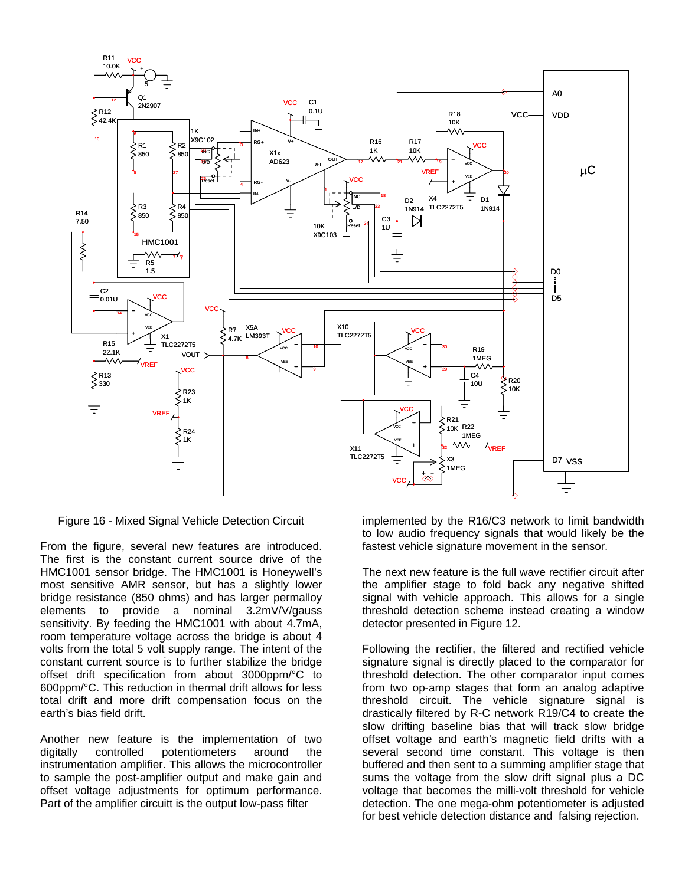

Figure 16 - Mixed Signal Vehicle Detection Circuit

From the figure, several new features are introduced. The first is the constant current source drive of the HMC1001 sensor bridge. The HMC1001 is Honeywell's most sensitive AMR sensor, but has a slightly lower bridge resistance (850 ohms) and has larger permalloy elements to provide a nominal 3.2mV/V/gauss sensitivity. By feeding the HMC1001 with about 4.7mA, room temperature voltage across the bridge is about 4 volts from the total 5 volt supply range. The intent of the constant current source is to further stabilize the bridge offset drift specification from about 3000ppm/°C to 600ppm/°C. This reduction in thermal drift allows for less total drift and more drift compensation focus on the earth's bias field drift.

Another new feature is the implementation of two digitally controlled potentiometers around the instrumentation amplifier. This allows the microcontroller to sample the post-amplifier output and make gain and offset voltage adjustments for optimum performance. Part of the amplifier circuitt is the output low-pass filter

implemented by the R16/C3 network to limit bandwidth to low audio frequency signals that would likely be the fastest vehicle signature movement in the sensor.

The next new feature is the full wave rectifier circuit after the amplifier stage to fold back any negative shifted signal with vehicle approach. This allows for a single threshold detection scheme instead creating a window detector presented in Figure 12.

Following the rectifier, the filtered and rectified vehicle signature signal is directly placed to the comparator for threshold detection. The other comparator input comes from two op-amp stages that form an analog adaptive threshold circuit. The vehicle signature signal is drastically filtered by R-C network R19/C4 to create the slow drifting baseline bias that will track slow bridge offset voltage and earth's magnetic field drifts with a several second time constant. This voltage is then buffered and then sent to a summing amplifier stage that sums the voltage from the slow drift signal plus a DC voltage that becomes the milli-volt threshold for vehicle detection. The one mega-ohm potentiometer is adjusted for best vehicle detection distance and falsing rejection.